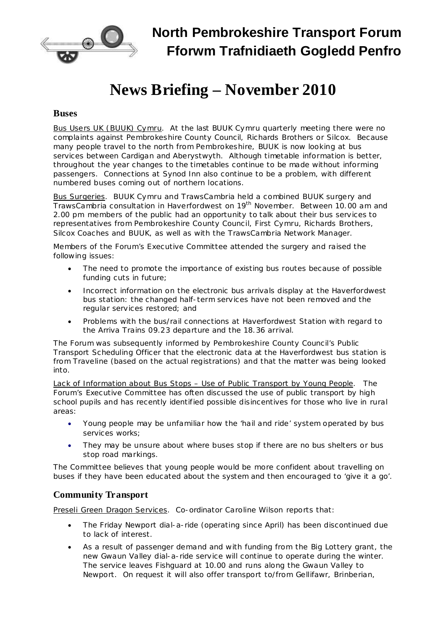

**North Pembrokeshire Transport Forum Fforwm Trafnidiaeth Gogledd Penfro**

## **News Briefing – November 2010**

## **Buses**

Bus Users UK (BUUK) Cymru. At the last BUUK Cymru quarterly meeting there were no complaints against Pembrokeshire County Council, Richards Brothers or Silcox. Because many people travel to the north from Pembrokeshire, BUUK is now looking at bus services between Cardigan and Aberystwyth. Although timetable information is better, throughout the year changes to the timetables continue to be made without informing passengers. Connections at Synod Inn also continue to be a problem, with different numbered buses coming out of northern locations.

Bus Surgeries. BUUK Cymru and TrawsCambria held a combined BUUK surgery and TrawsCambria consultation in Haverfordwest on 19<sup>th</sup> November. Between 10.00 am and 2.00 pm members of the public had an opportunity to talk about their bus services to representatives from Pembrokeshire County Council, First Cymru, Richards Brothers, Silcox Coaches and BUUK, as well as with the TrawsCambria Network Manager.

Members of the Forum's Executive Committee attended the surgery and raised the following issues:

- The need to promote the importance of existing bus routes because of possible funding cuts in future;
- · Incorrect information on the electronic bus arrivals display at the Haverfordwest bus station: the changed half-term services have not been removed and the regular services restored; and
- · Problems with the bus/rail connections at Haverfordwest Station with regard to the Arriva Trains 09.23 departure and the 18.36 arrival.

The Forum was subsequently informed by Pembrokeshire County Council's Public Transport Scheduling Officer that the electronic data at the Haverfordwest bus station is from Traveline (based on the actual registrations) and that the matter was being looked into.

Lack of Information about Bus Stops – Use of Public Transport by Young People. The Forum's Executive Committee has often discussed the use of public transport by high school pupils and has recently identified possible disincentives for those who live in rural areas:

- · Young people may be unfamiliar how the 'hail and ride' system operated by bus services works;
- They may be unsure about where buses stop if there are no bus shelters or bus stop road markings.

The Committee believes that young people would be more confident about travelling on buses if they have been educated about the system and then encouraged to 'give it a go'.

## **Community Transport**

Preseli Green Dragon Services. Co-ordinator Caroline Wilson reports that:

- · The Friday Newport dial-a-ride (operating since April) has been discontinued due to lack of interest.
- · As a result of passenger demand and with funding from the Big Lottery grant, the new Gwaun Valley dial-a-ride service will continue to operate during the winter. The service leaves Fishguard at 10.00 and runs along the Gwaun Valley to Newport. On request it will also offer transport to/from Gellifawr, Brinberian,